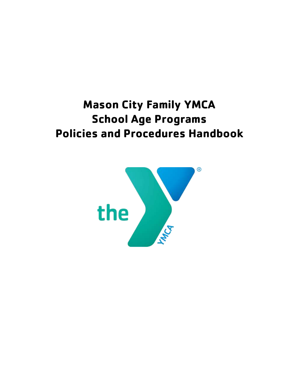# **Mason City Family YMCA School Age Programs Policies and Procedures Handbook**

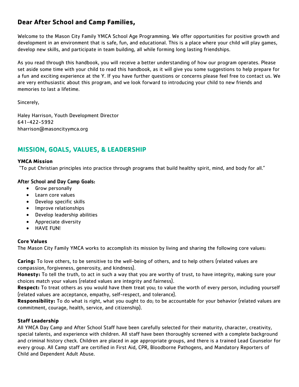# **Dear After School and Camp Families,**

Welcome to the Mason City Family YMCA School Age Programming. We offer opportunities for positive growth and development in an environment that is safe, fun, and educational. This is a place where your child will play games, develop new skills, and participate in team building, all while forming long lasting friendships.

As you read through this handbook, you will receive a better understanding of how our program operates. Please set aside some time with your child to read this handbook, as it will give you some suggestions to help prepare for a fun and exciting experience at the Y. If you have further questions or concerns please feel free to contact us. We are very enthusiastic about this program, and we look forward to introducing your child to new friends and memories to last a lifetime.

Sincerely,

Haley Harrison, Youth Development Director 641-422-5992 hharrison@masoncityymca.org

# **MISSION, GOALS, VALUES, & LEADERSHIP**

# **YMCA Mission**

"To put Christian principles into practice through programs that build healthy spirit, mind, and body for all."

# After School and Day Camp Goals:

- Grow personally
- Learn core values
- Develop specific skills
- Improve relationships
- Develop leadership abilities
- Appreciate diversity
- HAVE FUN!

# **Core Values**

The Mason City Family YMCA works to accomplish its mission by living and sharing the following core values:

**Caring:** To love others, to be sensitive to the well-being of others, and to help others (related values are compassion, forgiveness, generosity, and kindness).

**Honesty:** To tell the truth, to act in such a way that you are worthy of trust, to have integrity, making sure your choices match your values (related values are integrity and fairness).

**Respect:** To treat others as you would have them treat you; to value the worth of every person, including yourself (related values are acceptance, empathy, self-respect, and tolerance).

**Responsibility:** To do what is right, what you ought to do; to be accountable for your behavior (related values are commitment, courage, health, service, and citizenship).

# **Staff Leadership**

All YMCA Day Camp and After School Staff have been carefully selected for their maturity, character, creativity, special talents, and experience with children. All staff have been thoroughly screened with a complete background and criminal history check. Children are placed in age appropriate groups, and there is a trained Lead Counselor for every group. All Camp staff are certified in First Aid, CPR, Bloodborne Pathogens, and Mandatory Reporters of Child and Dependent Adult Abuse.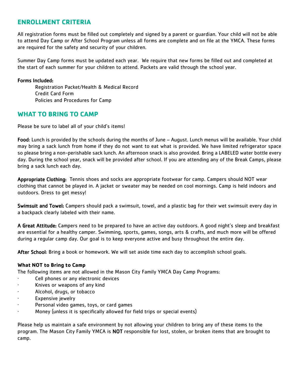# **ENROLLMENT CRITERIA**

All registration forms must be filled out completely and signed by a parent or guardian. Your child will not be able to attend Day Camp or After School Program unless all forms are complete and on file at the YMCA. These forms are required for the safety and security of your children.

Summer Day Camp forms must be updated each year. We require that new forms be filled out and completed at the start of each summer for your children to attend. Packets are valid through the school year.

## Forms Included:

Registration Packet/Health & Medical Record Credit Card Form Policies and Procedures for Camp

# **WHAT TO BRING TO CAMP**

Please be sure to label all of your child's items!

Food: Lunch is provided by the schools during the months of June – August. Lunch menus will be available. Your child may bring a sack lunch from home if they do not want to eat what is provided. We have limited refrigerator space so please bring a non-perishable sack lunch. An afternoon snack is also provided. Bring a LABELED water bottle every day. During the school year, snack will be provided after school. If you are attending any of the Break Camps, please bring a sack lunch each day.

Appropriate Clothing: Tennis shoes and socks are appropriate footwear for camp. Campers should NOT wear clothing that cannot be played in. A jacket or sweater may be needed on cool mornings. Camp is held indoors and outdoors. Dress to get messy!

Swimsuit and Towel: Campers should pack a swimsuit, towel, and a plastic bag for their wet swimsuit every day in a backpack clearly labeled with their name.

A Great Attitude: Campers need to be prepared to have an active day outdoors. A good night's sleep and breakfast are essential for a healthy camper. Swimming, sports, games, songs, arts & crafts, and much more will be offered during a regular camp day. Our goal is to keep everyone active and busy throughout the entire day.

After School: Bring a book or homework. We will set aside time each day to accomplish school goals.

# **What NOT to Bring to Camp**

The following items are not allowed in the Mason City Family YMCA Day Camp Programs:

- Cell phones or any electronic devices
- · Knives or weapons of any kind
- Alcohol, drugs, or tobacco
- Expensive jewelry
- Personal video games, toys, or card games
- · Money (unless it is specifically allowed for field trips or special events)

Please help us maintain a safe environment by not allowing your children to bring any of these items to the program. The Mason City Family YMCA is NOT responsible for lost, stolen, or broken items that are brought to camp.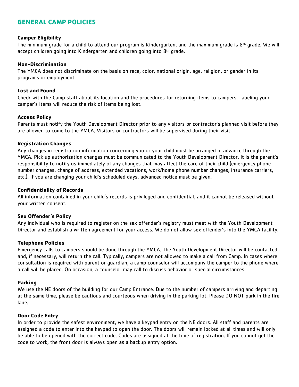# **GENERAL CAMP POLICIES**

#### **Camper Eligibility**

The minimum grade for a child to attend our program is Kindergarten, and the maximum grade is  $8<sup>th</sup>$  grade. We will accept children going into Kindergarten and children going into 8<sup>th</sup> grade.

#### **Non-Discrimination**

The YMCA does not discriminate on the basis on race, color, national origin, age, religion, or gender in its programs or employment.

#### **Lost and Found**

Check with the Camp staff about its location and the procedures for returning items to campers. Labeling your camper's items will reduce the risk of items being lost.

#### **Access Policy**

Parents must notify the Youth Development Director prior to any visitors or contractor's planned visit before they are allowed to come to the YMCA. Visitors or contractors will be supervised during their visit.

#### **Registration Changes**

Any changes in registration information concerning you or your child must be arranged in advance through the YMCA. Pick up authorization changes must be communicated to the Youth Development Director. It is the parent's responsibility to notify us immediately of any changes that may affect the care of their child (emergency phone number changes, change of address, extended vacations, work/home phone number changes, insurance carriers, etc.). If you are changing your child's scheduled days, advanced notice must be given.

#### **Confidentiality of Records**

All information contained in your child's records is privileged and confidential, and it cannot be released without your written consent.

#### **Sex Offender's Policy**

Any individual who is required to register on the sex offender's registry must meet with the Youth Development Director and establish a written agreement for your access. We do not allow sex offender's into the YMCA facility.

#### **Telephone Policies**

Emergency calls to campers should be done through the YMCA. The Youth Development Director will be contacted and, if necessary, will return the call. Typically, campers are not allowed to make a call from Camp. In cases where consultation is required with parent or guardian, a camp counselor will accompany the camper to the phone where a call will be placed. On occasion, a counselor may call to discuss behavior or special circumstances.

#### **Parking**

We use the NE doors of the building for our Camp Entrance. Due to the number of campers arriving and departing at the same time, please be cautious and courteous when driving in the parking lot. Please DO NOT park in the fire lane.

#### **Door Code Entry**

In order to provide the safest environment, we have a keypad entry on the NE doors. All staff and parents are assigned a code to enter into the keypad to open the door. The doors will remain locked at all times and will only be able to be opened with the correct code. Codes are assigned at the time of registration. If you cannot get the code to work, the front door is always open as a backup entry option.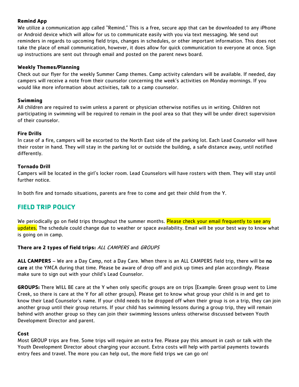# **Remind App**

We utilize a communication app called "Remind." This is a free, secure app that can be downloaded to any iPhone or Android device which will allow for us to communicate easily with you via text messaging. We send out reminders in regards to upcoming field trips, changes in schedules, or other important information. This does not take the place of email communication, however, it does allow for quick communication to everyone at once. Sign up instructions are sent out through email and posted on the parent news board.

## **Weekly Themes/Planning**

Check out our flyer for the weekly Summer Camp themes. Camp activity calendars will be available. If needed, day campers will receive a note from their counselor concerning the week's activities on Monday mornings. If you would like more information about activities, talk to a camp counselor.

## **Swimming**

All children are required to swim unless a parent or physician otherwise notifies us in writing. Children not participating in swimming will be required to remain in the pool area so that they will be under direct supervision of their counselor.

## **Fire Drills**

In case of a fire, campers will be escorted to the North East side of the parking lot. Each Lead Counselor will have their roster in hand. They will stay in the parking lot or outside the building, a safe distance away, until notified differently.

## **Tornado Drill**

Campers will be located in the girl's locker room. Lead Counselors will have rosters with them. They will stay until further notice.

In both fire and tornado situations, parents are free to come and get their child from the Y.

# **FIELD TRIP POLICY**

We periodically go on field trips throughout the summer months. Please check your email frequently to see any updates. The schedule could change due to weather or space availability. Email will be your best way to know what is going on in camp.

# **There are 2 types of field trips:** ALL CAMPERS and GROUPS

**ALL CAMPERS** – We are a Day Camp, not a Day Care. When there is an ALL CAMPERS field trip, there will be no care at the YMCA during that time. Please be aware of drop off and pick up times and plan accordingly. Please make sure to sign out with your child's Lead Counselor.

**GROUPS:** There WILL BE care at the Y when only specific groups are on trips (Example: Green group went to Lime Creek, so there is care at the Y for all other groups). Please get to know what group your child is in and get to know their Lead Counselor's name. If your child needs to be dropped off when their group is on a trip, they can join another group until their group returns. If your child has swimming lessons during a group trip, they will remain behind with another group so they can join their swimming lessons unless otherwise discussed between Youth Development Director and parent.

#### **Cost**

Most GROUP trips are free. Some trips will require an extra fee. Please pay this amount in cash or talk with the Youth Development Director about charging your account. Extra costs will help with partial payments towards entry fees and travel. The more you can help out, the more field trips we can go on!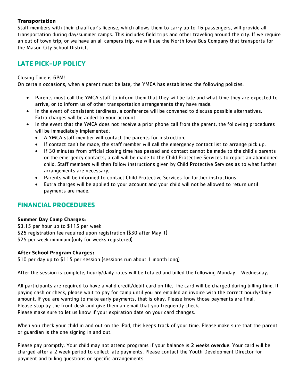## **Transportation**

Staff members with their chauffeur's license, which allows them to carry up to 16 passengers, will provide all transportation during day/summer camps. This includes field trips and other traveling around the city. If we require an out of town trip, or we have an all campers trip, we will use the North Iowa Bus Company that transports for the Mason City School District.

# **LATE PICK-UP POLICY**

## Closing Time is 6PM!

On certain occasions, when a parent must be late, the YMCA has established the following policies:

- Parents must call the YMCA staff to inform them that they will be late and what time they are expected to arrive, or to inform us of other transportation arrangements they have made.
- In the event of consistent tardiness, a conference will be convened to discuss possible alternatives. Extra charges will be added to your account.
- In the event that the YMCA does not receive a prior phone call from the parent, the following procedures will be immediately implemented:
	- A YMCA staff member will contact the parents for instruction.
	- If contact can't be made, the staff member will call the emergency contact list to arrange pick up.
	- If 30 minutes from official closing time has passed and contact cannot be made to the child's parents or the emergency contacts, a call will be made to the Child Protective Services to report an abandoned child. Staff members will then follow instructions given by Child Protective Services as to what further arrangements are necessary.
	- Parents will be informed to contact Child Protective Services for further instructions.
	- Extra charges will be applied to your account and your child will not be allowed to return until payments are made.

# **FINANCIAL PROCEDURES**

#### **Summer Day Camp Charges:**

\$3.15 per hour up to \$115 per week \$25 registration fee required upon registration (\$30 after May 1) \$25 per week minimum (only for weeks registered)

# **After School Program Charges:**

\$10 per day up to \$115 per session (sessions run about 1 month long)

After the session is complete, hourly/daily rates will be totaled and billed the following Monday – Wednesday.

All participants are required to have a valid credit/debit card on file. The card will be charged during billing time. If paying cash or check, please wait to pay for camp until you are emailed an invoice with the correct hourly/daily amount. If you are wanting to make early payments, that is okay. Please know those payments are final. Please stop by the front desk and give them an email that you frequently check. Please make sure to let us know if your expiration date on your card changes.

When you check your child in and out on the iPad, this keeps track of your time. Please make sure that the parent or guardian is the one signing in and out.

Please pay promptly. Your child may not attend programs if your balance is 2 weeks overdue. Your card will be charged after a 2 week period to collect late payments. Please contact the Youth Development Director for payment and billing questions or specific arrangements.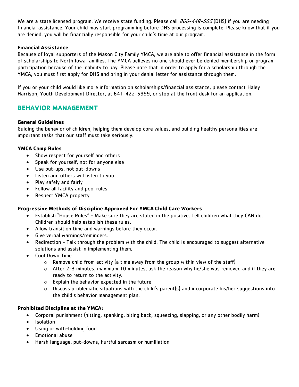We are a state licensed program. We receive state funding. Please call 866-448-565 (DHS) if you are needing financial assistance. Your child may start programming before DHS processing is complete. Please know that if you are denied, you will be financially responsible for your child's time at our program.

#### **Financial Assistance**

Because of loyal supporters of the Mason City Family YMCA, we are able to offer financial assistance in the form of scholarships to North Iowa families. The YMCA believes no one should ever be denied membership or program participation because of the inability to pay. Please note that in order to apply for a scholarship through the YMCA, you must first apply for DHS and bring in your denial letter for assistance through them.

If you or your child would like more information on scholarships/financial assistance, please contact Haley Harrison, Youth Development Director, at 641-422-5999, or stop at the front desk for an application.

# **BEHAVIOR MANAGEMENT**

#### **General Guidelines**

Guiding the behavior of children, helping them develop core values, and building healthy personalities are important tasks that our staff must take seriously.

## **YMCA Camp Rules**

- Show respect for yourself and others
- Speak for yourself, not for anyone else
- Use put-ups, not put-downs
- Listen and others will listen to you
- Play safely and fairly
- Follow all facility and pool rules
- Respect YMCA property

# **Progressive Methods of Discipline Approved For YMCA Child Care Workers**

- Establish "House Rules" Make sure they are stated in the positive. Tell children what they CAN do. Children should help establish these rules.
- Allow transition time and warnings before they occur.
- Give verbal warnings/reminders.
- Redirection Talk through the problem with the child. The child is encouraged to suggest alternative solutions and assist in implementing them.
- Cool Down Time
	- $\circ$  Remove child from activity (a time away from the group within view of the staff)
	- o After 2-3 minutes, maximum 10 minutes, ask the reason why he/she was removed and if they are ready to return to the activity.
	- o Explain the behavior expected in the future
	- $\circ$  Discuss problematic situations with the child's parent(s) and incorporate his/her suggestions into the child's behavior management plan.

#### **Prohibited Discipline at the YMCA:**

- Corporal punishment (hitting, spanking, biting back, squeezing, slapping, or any other bodily harm)
- Isolation
- Using or with-holding food
- Emotional abuse
- Harsh language, put-downs, hurtful sarcasm or humiliation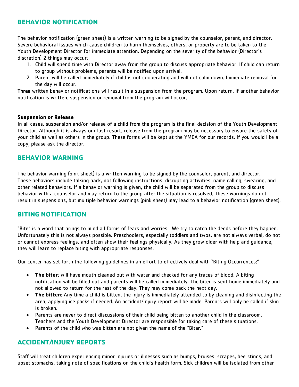# **BEHAVIOR NOTIFICATION**

The behavior notification (green sheet) is a written warning to be signed by the counselor, parent, and director. Severe behavioral issues which cause children to harm themselves, others, or property are to be taken to the Youth Development Director for immediate attention. Depending on the severity of the behavior (Director's discretion) 2 things may occur:

- 1. Child will spend time with Director away from the group to discuss appropriate behavior. If child can return to group without problems, parents will be notified upon arrival.
- 2. Parent will be called immediately if child is not cooperating and will not calm down. Immediate removal for the day will occur.

Three written behavior notifications will result in a suspension from the program. Upon return, if another behavior notification is written, suspension or removal from the program will occur.

## **Suspension or Release**

In all cases, suspension and/or release of a child from the program is the final decision of the Youth Development Director. Although it is always our last resort, release from the program may be necessary to ensure the safety of your child as well as others in the group. These forms will be kept at the YMCA for our records. If you would like a copy, please ask the director.

# **BEHAVIOR WARNING**

The behavior warning (pink sheet) is a written warning to be signed by the counselor, parent, and director. These behaviors include talking back, not following instructions, disrupting activities, name calling, swearing, and other related behaviors. If a behavior warning is given, the child will be separated from the group to discuss behavior with a counselor and may return to the group after the situation is resolved. These warnings do not result in suspensions, but multiple behavior warnings (pink sheet) may lead to a behavior notification (green sheet).

# **BITING NOTIFICATION**

"Bite" is a word that brings to mind all forms of fears and worries. We try to catch the deeds before they happen. Unfortunately this is not always possible. Preschoolers, especially toddlers and twos, are not always verbal, do not or cannot express feelings, and often show their feelings physically. As they grow older with help and guidance, they will learn to replace biting with appropriate responses.

Our center has set forth the following guidelines in an effort to effectively deal with "Biting Occurrences:"

- **The biter**: will have mouth cleaned out with water and checked for any traces of blood. A biting notification will be filled out and parents will be called immediately. The biter is sent home immediately and not allowed to return for the rest of the day. They may come back the next day.
- **The bitten**: Any time a child is bitten, the injury is immediately attended to by cleaning and disinfecting the area, applying ice packs if needed. An accident/injury report will be made. Parents will only be called if skin is broken.
- Parents are never to direct discussions of their child being bitten to another child in the classroom. Teachers and the Youth Development Director are responsible for taking care of these situations.
- Parents of the child who was bitten are not given the name of the "Biter."

# **ACCIDENT/INJURY REPORTS**

Staff will treat children experiencing minor injuries or illnesses such as bumps, bruises, scrapes, bee stings, and upset stomachs, taking note of specifications on the child's health form. Sick children will be isolated from other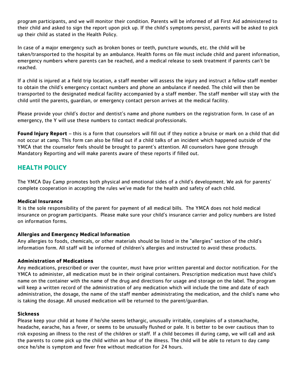program participants, and we will monitor their condition. Parents will be informed of all First Aid administered to their child and asked to sign the report upon pick up. If the child's symptoms persist, parents will be asked to pick up their child as stated in the Health Policy.

In case of a major emergency such as broken bones or teeth, puncture wounds, etc. the child will be taken/transported to the hospital by an ambulance. Health forms on file must include child and parent information, emergency numbers where parents can be reached, and a medical release to seek treatment if parents can't be reached.

If a child is injured at a field trip location, a staff member will assess the injury and instruct a fellow staff member to obtain the child's emergency contact numbers and phone an ambulance if needed. The child will then be transported to the designated medical facility accompanied by a staff member. The staff member will stay with the child until the parents, guardian, or emergency contact person arrives at the medical facility.

Please provide your child's doctor and dentist's name and phone numbers on the registration form. In case of an emergency, the Y will use these numbers to contact medical professionals.

**Found Injury Report** – this is a form that counselors will fill out if they notice a bruise or mark on a child that did not occur at camp. This form can also be filled out if a child talks of an incident which happened outside of the YMCA that the counselor feels should be brought to parent's attention. All counselors have gone through Mandatory Reporting and will make parents aware of these reports if filled out.

# **HEALTH POLICY**

The YMCA Day Camp promotes both physical and emotional sides of a child's development. We ask for parents' complete cooperation in accepting the rules we've made for the health and safety of each child.

#### **Medical Insurance**

It is the sole responsibility of the parent for payment of all medical bills. The YMCA does not hold medical insurance on program participants. Please make sure your child's insurance carrier and policy numbers are listed on information forms.

#### **Allergies and Emergency Medical Information**

Any allergies to foods, chemicals, or other materials should be listed in the "allergies" section of the child's information form. All staff will be informed of children's allergies and instructed to avoid these products.

# **Administration of Medications**

Any medications, prescribed or over the counter, must have prior written parental and doctor notification. For the YMCA to administer, all medication must be in their original containers. Prescription medication must have child's name on the container with the name of the drug and directions for usage and storage on the label. The program will keep a written record of the administration of any medication which will include the time and date of each administration, the dosage, the name of the staff member administrating the medication, and the child's name who is taking the dosage. All unused medication will be returned to the parent/guardian.

#### **Sickness**

Please keep your child at home if he/she seems lethargic, unusually irritable, complains of a stomachache, headache, earache, has a fever, or seems to be unusually flushed or pale. It is better to be over cautious than to risk exposing an illness to the rest of the children or staff. If a child becomes ill during camp, we will call and ask the parents to come pick up the child within an hour of the illness. The child will be able to return to day camp once he/she is symptom and fever free without medication for 24 hours.